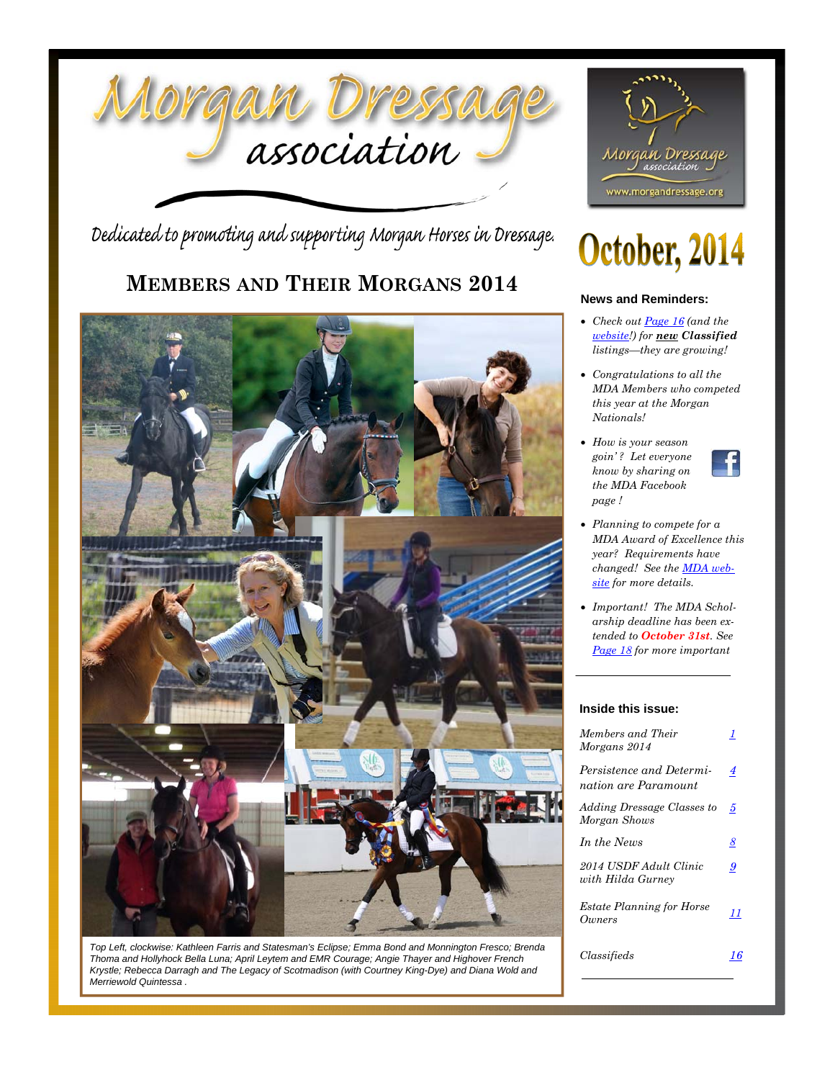

Dedicated to promoting and supporting Morgan Horses in Dressage.

## **MEMBERS AND THEIR MORGANS 2014**



*Top Left, clockwise: Kathleen Farris and Statesman's Eclipse; Emma Bond and Monnington Fresco; Brenda Thoma and Hollyhock Bella Luna; April Leytem and EMR Courage; Angie Thayer and Highover French Krystle; Rebecca Darragh and The Legacy of Scotmadison (with Courtney King-Dye) and Diana Wold and Merriewold Quintessa .* 



# October, 2014

#### **News and Reminders:**

- *Check out Page 16 (and the website!) for new Classified listings—they are growing!*
- *Congratulations to all the MDA Members who competed this year at the Morgan Nationals!*
- *How is your season goin' ? Let everyone know by sharing on the MDA Facebook page !*



- *Planning to compete for a MDA Award of Excellence this year? Requirements have changed! See the MDA website for more details.*
- *Important! The MDA Scholarship deadline has been extended to October 31st. See Page 18 for more important*

#### **Inside this issue:**

| Members and Their<br>Morgans 2014                | 7       |
|--------------------------------------------------|---------|
| Persistence and Determi-<br>nation are Paramount | 4       |
| Adding Dressage Classes to<br>Morgan Shows       | 5       |
| In the News                                      | 8       |
| 2014 USDF Adult Clinic<br>with Hilda Gurney      | 9       |
| <b>Estate Planning for Horse</b><br>Owners       | $_{11}$ |
| Classifieds                                      |         |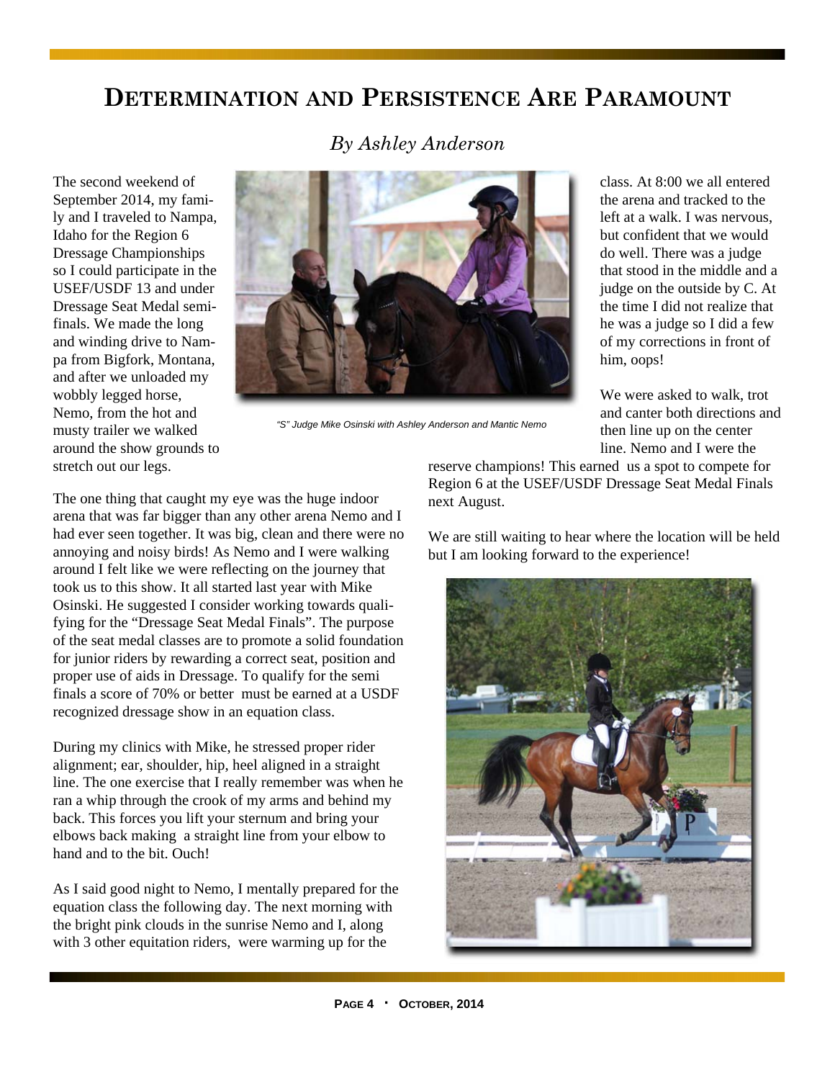## **DETERMINATION AND PERSISTENCE ARE PARAMOUNT**

The second weekend of September 2014, my family and I traveled to Nampa, Idaho for the Region 6 Dressage Championships so I could participate in the USEF/USDF 13 and under Dressage Seat Medal semifinals. We made the long and winding drive to Nampa from Bigfork, Montana, and after we unloaded my wobbly legged horse, Nemo, from the hot and musty trailer we walked around the show grounds to stretch out our legs.





*"S" Judge Mike Osinski with Ashley Anderson and Mantic Nemo* 

class. At 8:00 we all entered the arena and tracked to the left at a walk. I was nervous, but confident that we would do well. There was a judge that stood in the middle and a judge on the outside by C. At the time I did not realize that he was a judge so I did a few of my corrections in front of him, oops!

We were asked to walk, trot and canter both directions and then line up on the center line. Nemo and I were the

The one thing that caught my eye was the huge indoor arena that was far bigger than any other arena Nemo and I had ever seen together. It was big, clean and there were no annoying and noisy birds! As Nemo and I were walking around I felt like we were reflecting on the journey that took us to this show. It all started last year with Mike Osinski. He suggested I consider working towards qualifying for the "Dressage Seat Medal Finals". The purpose of the seat medal classes are to promote a solid foundation for junior riders by rewarding a correct seat, position and proper use of aids in Dressage. To qualify for the semi finals a score of 70% or better must be earned at a USDF recognized dressage show in an equation class.

During my clinics with Mike, he stressed proper rider alignment; ear, shoulder, hip, heel aligned in a straight line. The one exercise that I really remember was when he ran a whip through the crook of my arms and behind my back. This forces you lift your sternum and bring your elbows back making a straight line from your elbow to hand and to the bit. Ouch!

As I said good night to Nemo, I mentally prepared for the equation class the following day. The next morning with the bright pink clouds in the sunrise Nemo and I, along with 3 other equitation riders, were warming up for the

reserve champions! This earned us a spot to compete for Region 6 at the USEF/USDF Dressage Seat Medal Finals next August.

We are still waiting to hear where the location will be held but I am looking forward to the experience!

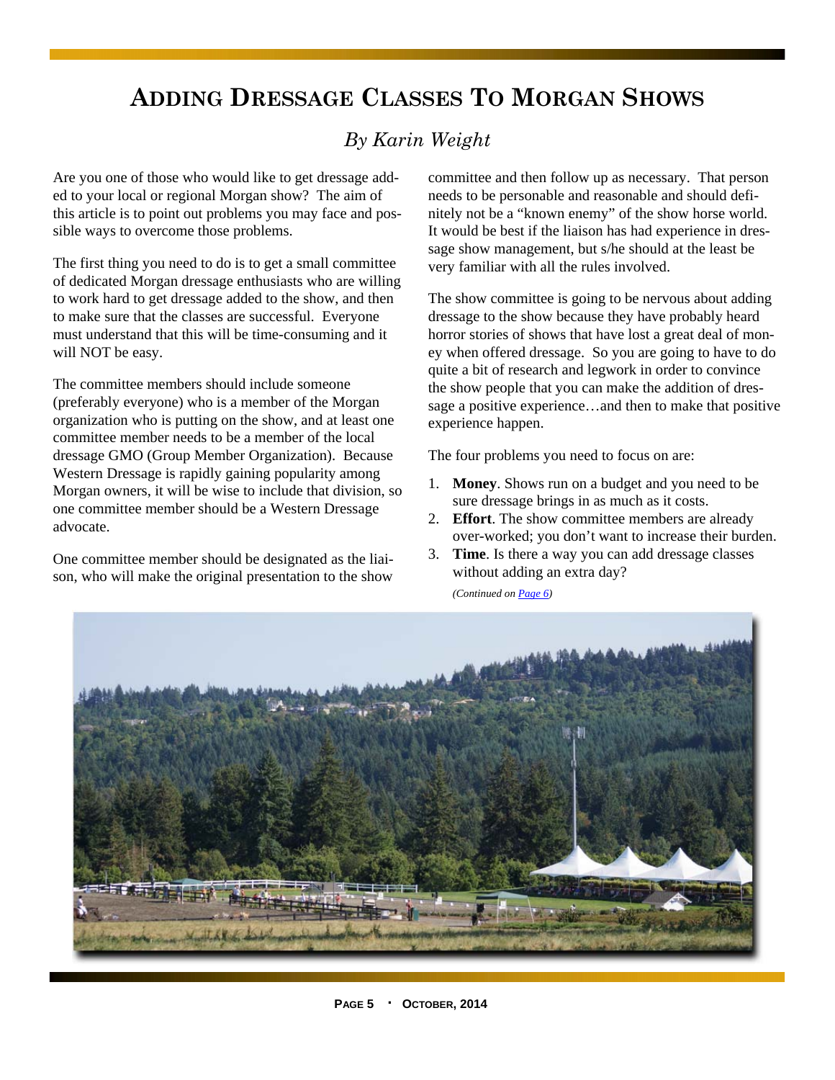## **ADDING DRESSAGE CLASSES TO MORGAN SHOWS**

## *By Karin Weight*

Are you one of those who would like to get dressage added to your local or regional Morgan show? The aim of this article is to point out problems you may face and possible ways to overcome those problems.

The first thing you need to do is to get a small committee of dedicated Morgan dressage enthusiasts who are willing to work hard to get dressage added to the show, and then to make sure that the classes are successful. Everyone must understand that this will be time-consuming and it will NOT be easy.

The committee members should include someone (preferably everyone) who is a member of the Morgan organization who is putting on the show, and at least one committee member needs to be a member of the local dressage GMO (Group Member Organization). Because Western Dressage is rapidly gaining popularity among Morgan owners, it will be wise to include that division, so one committee member should be a Western Dressage advocate.

One committee member should be designated as the liaison, who will make the original presentation to the show committee and then follow up as necessary. That person needs to be personable and reasonable and should definitely not be a "known enemy" of the show horse world. It would be best if the liaison has had experience in dressage show management, but s/he should at the least be very familiar with all the rules involved.

The show committee is going to be nervous about adding dressage to the show because they have probably heard horror stories of shows that have lost a great deal of money when offered dressage. So you are going to have to do quite a bit of research and legwork in order to convince the show people that you can make the addition of dressage a positive experience…and then to make that positive experience happen.

The four problems you need to focus on are:

- 1. **Money**. Shows run on a budget and you need to be sure dressage brings in as much as it costs.
- 2. **Effort**. The show committee members are already over-worked; you don't want to increase their burden.
- 3. **Time**. Is there a way you can add dressage classes without adding an extra day?

*(Continued on Page 6)* 

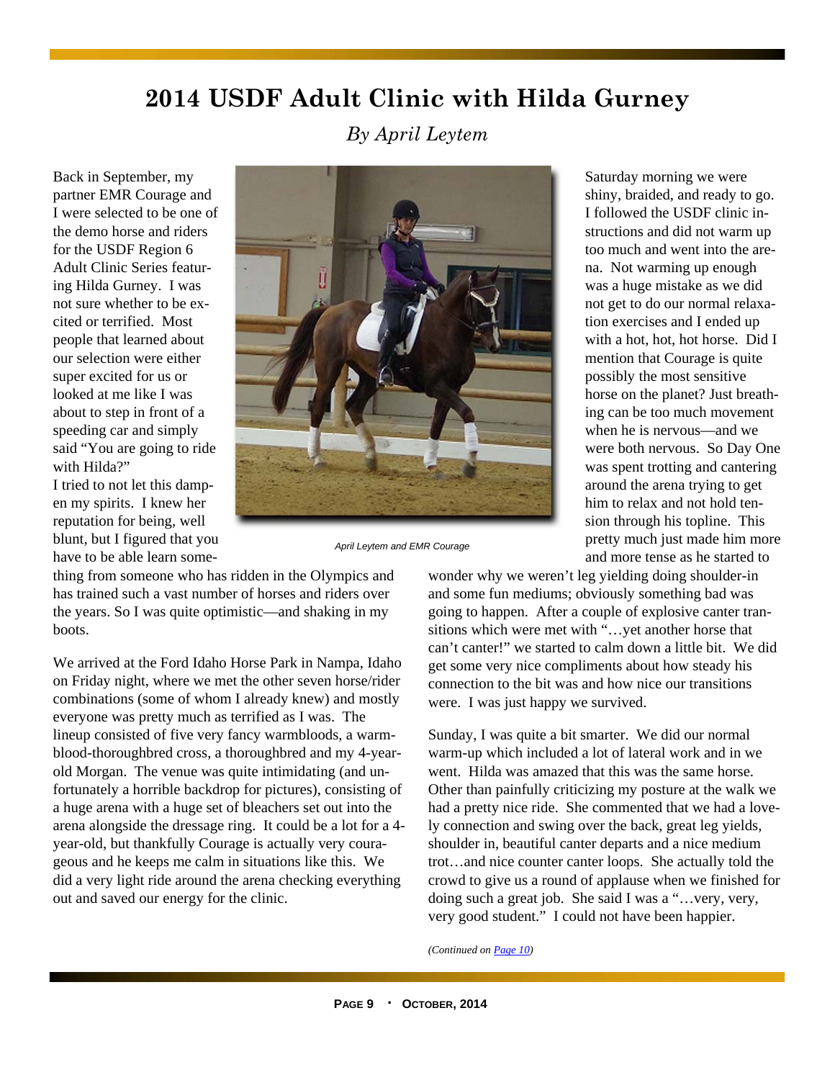# **2014 USDF Adult Clinic with Hilda Gurney**

*By April Leytem* 

Back in September, my partner EMR Courage and I were selected to be one of the demo horse and riders for the USDF Region 6 Adult Clinic Series featuring Hilda Gurney. I was not sure whether to be excited or terrified. Most people that learned about our selection were either super excited for us or looked at me like I was about to step in front of a speeding car and simply said "You are going to ride with Hilda?"

I tried to not let this dampen my spirits. I knew her reputation for being, well blunt, but I figured that you have to be able learn some-



*April Leytem and EMR Courage* 

thing from someone who has ridden in the Olympics and has trained such a vast number of horses and riders over the years. So I was quite optimistic—and shaking in my boots.

We arrived at the Ford Idaho Horse Park in Nampa, Idaho on Friday night, where we met the other seven horse/rider combinations (some of whom I already knew) and mostly everyone was pretty much as terrified as I was. The lineup consisted of five very fancy warmbloods, a warmblood-thoroughbred cross, a thoroughbred and my 4-yearold Morgan. The venue was quite intimidating (and unfortunately a horrible backdrop for pictures), consisting of a huge arena with a huge set of bleachers set out into the arena alongside the dressage ring. It could be a lot for a 4 year-old, but thankfully Courage is actually very courageous and he keeps me calm in situations like this. We did a very light ride around the arena checking everything out and saved our energy for the clinic.

Saturday morning we were shiny, braided, and ready to go. I followed the USDF clinic instructions and did not warm up too much and went into the arena. Not warming up enough was a huge mistake as we did not get to do our normal relaxation exercises and I ended up with a hot, hot, hot horse. Did I mention that Courage is quite possibly the most sensitive horse on the planet? Just breathing can be too much movement when he is nervous—and we were both nervous. So Day One was spent trotting and cantering around the arena trying to get him to relax and not hold tension through his topline. This pretty much just made him more and more tense as he started to

wonder why we weren't leg yielding doing shoulder-in and some fun mediums; obviously something bad was going to happen. After a couple of explosive canter transitions which were met with "…yet another horse that can't canter!" we started to calm down a little bit. We did get some very nice compliments about how steady his connection to the bit was and how nice our transitions were. I was just happy we survived.

Sunday, I was quite a bit smarter. We did our normal warm-up which included a lot of lateral work and in we went. Hilda was amazed that this was the same horse. Other than painfully criticizing my posture at the walk we had a pretty nice ride. She commented that we had a lovely connection and swing over the back, great leg yields, shoulder in, beautiful canter departs and a nice medium trot…and nice counter canter loops. She actually told the crowd to give us a round of applause when we finished for doing such a great job. She said I was a "…very, very, very good student." I could not have been happier.

*(Continued on Page 10)*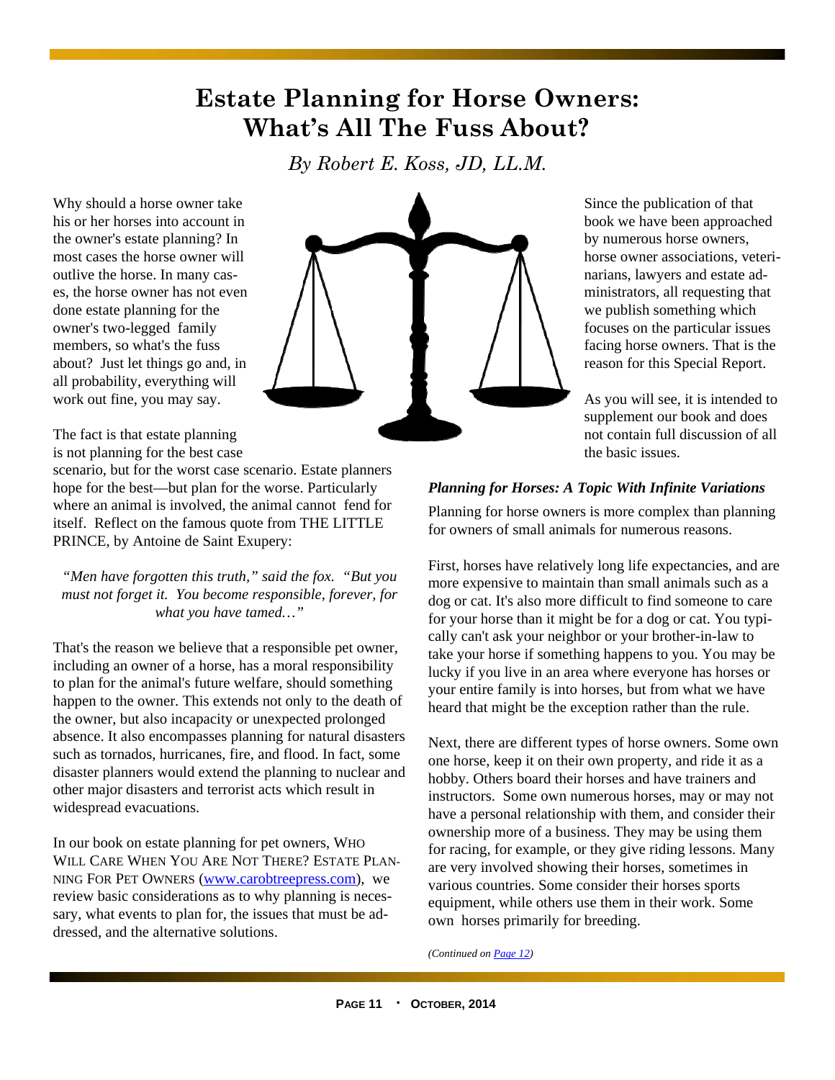## **Estate Planning for Horse Owners: What's All The Fuss About?**

*By Robert E. Koss, JD, LL.M.* 

Why should a horse owner take his or her horses into account in the owner's estate planning? In most cases the horse owner will outlive the horse. In many cases, the horse owner has not even done estate planning for the owner's two-legged family members, so what's the fuss about? Just let things go and, in all probability, everything will work out fine, you may say.



Since the publication of that book we have been approached by numerous horse owners, horse owner associations, veterinarians, lawyers and estate administrators, all requesting that we publish something which focuses on the particular issues facing horse owners. That is the reason for this Special Report.

As you will see, it is intended to supplement our book and does not contain full discussion of all the basic issues.

The fact is that estate planning is not planning for the best case

scenario, but for the worst case scenario. Estate planners hope for the best—but plan for the worse. Particularly where an animal is involved, the animal cannot fend for itself. Reflect on the famous quote from THE LITTLE PRINCE, by Antoine de Saint Exupery:

*"Men have forgotten this truth," said the fox. "But you must not forget it. You become responsible, forever, for what you have tamed…"* 

That's the reason we believe that a responsible pet owner, including an owner of a horse, has a moral responsibility to plan for the animal's future welfare, should something happen to the owner. This extends not only to the death of the owner, but also incapacity or unexpected prolonged absence. It also encompasses planning for natural disasters such as tornados, hurricanes, fire, and flood. In fact, some disaster planners would extend the planning to nuclear and other major disasters and terrorist acts which result in widespread evacuations.

In our book on estate planning for pet owners, WHO WILL CARE WHEN YOU ARE NOT THERE? ESTATE PLAN-NING FOR PET OWNERS (www.carobtreepress.com), we review basic considerations as to why planning is necessary, what events to plan for, the issues that must be addressed, and the alternative solutions.

### *Planning for Horses: A Topic With Infinite Variations*

Planning for horse owners is more complex than planning for owners of small animals for numerous reasons.

First, horses have relatively long life expectancies, and are more expensive to maintain than small animals such as a dog or cat. It's also more difficult to find someone to care for your horse than it might be for a dog or cat. You typically can't ask your neighbor or your brother-in-law to take your horse if something happens to you. You may be lucky if you live in an area where everyone has horses or your entire family is into horses, but from what we have heard that might be the exception rather than the rule.

Next, there are different types of horse owners. Some own one horse, keep it on their own property, and ride it as a hobby. Others board their horses and have trainers and instructors. Some own numerous horses, may or may not have a personal relationship with them, and consider their ownership more of a business. They may be using them for racing, for example, or they give riding lessons. Many are very involved showing their horses, sometimes in various countries. Some consider their horses sports equipment, while others use them in their work. Some own horses primarily for breeding.

*(Continued on Page 12)*